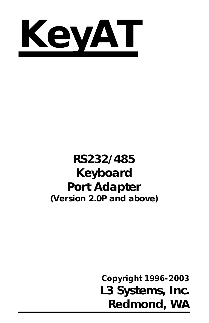

# **RS232/485 Keyboard Port Adapter (Version 2.0P and above)**

*Copyright 1996-2003* **L3 Systems, Inc. Redmond, WA**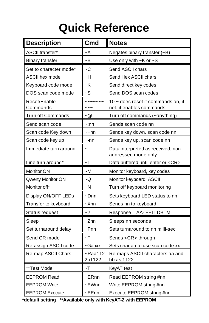# **Quick Reference**

| <b>Description</b>       | Cmd                                                  | <b>Notes</b>                                                   |
|--------------------------|------------------------------------------------------|----------------------------------------------------------------|
| ASCII transfer*          | ~A                                                   | Negates binary transfer (~B)                                   |
| <b>Binary transfer</b>   | ~B                                                   | Use only with ~K or ~S                                         |
| Set to character mode*   | ~C                                                   | Send ASCII chars                                               |
| ASCII hex mode           | ~H                                                   | Send Hex ASCII chars                                           |
| Keyboard code mode       | ~K                                                   | Send direct key codes                                          |
| DOS scan code mode       | $\sim$ S                                             | Send DOS scan codes                                            |
| Reset/Enable<br>Commands | $\sim$ $\sim$ $\sim$ $\sim$ $\sim$<br>$\sim\sim\sim$ | 10 ~ does reset if commands on, if<br>not, it enables commands |
| <b>Turn off Commands</b> | -@                                                   | Turn off commands (~anything)                                  |
| Send scan code           | $\sim$ :nn                                           | Sends scan code nn                                             |
| Scan code Key down       | $-+nn$                                               | Sends key down, scan code nn                                   |
| Scan code key up         | ~-nn                                                 | Sends key up, scan code nn                                     |
| Immediate turn around    | ~1                                                   | Data interpreted as received, non-<br>addressed mode only      |
| Line turn around*        | ~L                                                   | Data buffered until enter or <cr></cr>                         |
| Monitor ON               | $-M$                                                 | Monitor keyboard, key codes                                    |
| Qwerty Monitor ON        | ~Q                                                   | Monitor keyboard, ASCII                                        |
| Monitor off*             | $-N$                                                 | Turn off keyboard monitoring                                   |
| Display ON/OFF LEDs      | ~Dnn                                                 | Sets keyboard LED status to nn                                 |
| Transfer to keyboard     | ~Xnn                                                 | Sends nn to keyboard                                           |
| Status request           | $-?$                                                 | Response = AA-EELLDBTM                                         |
| Sleep                    | ~Znn                                                 | Sleeps nn seconds                                              |
| Set turnaround delay     | ~Pnn                                                 | Sets turnaround to nn milli-sec                                |
| Send CR mode             | ~F                                                   | Sends <cr> through</cr>                                        |
| Re-assign ASCII code     | ~Gaaxx                                               | Sets char aa to use scan code xx                               |
| Re-map ASCII Chars       | $~\sim$ Raa112<br>2b1122                             | Re-maps ASCII characters aa and<br>bb as 1122                  |
| **Test Mode              | ~T                                                   | KeyAT test                                                     |
| <b>EEPROM Read</b>       | $\neg$ ERnn                                          | Read EEPROM string #nn                                         |
| <b>EEPROM Write</b>      | $-EWnn$                                              | Write EEPROM string #nn                                        |
| <b>EEPROM Execute</b>    | $\neg$ EEnn                                          | Execute EEPROM string #nn                                      |

 **\*default setting \*\*Available only with KeyAT-2 with EEPROM**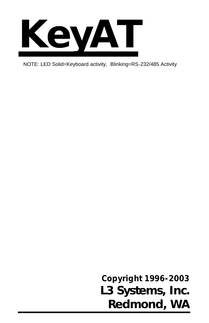

NOTE: LED Solid=Keyboard activity, Blinking=RS-232/485 Activity

*Copyright 1996-2003* **L3 Systems, Inc. Redmond, WA**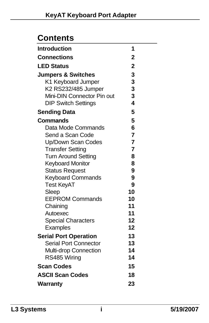#### **Contents**

| <b>Introduction</b>           | 1                       |
|-------------------------------|-------------------------|
| <b>Connections</b>            | $\overline{2}$          |
| <b>LED Status</b>             | $\overline{2}$          |
| <b>Jumpers &amp; Switches</b> | 3                       |
| K1 Keyboard Jumper            | 3                       |
| K2 RS232/485 Jumper           | 3                       |
| Mini-DIN Connector Pin out    | 3                       |
| <b>DIP Switch Settings</b>    | $\overline{\mathbf{4}}$ |
| <b>Sending Data</b>           | 5                       |
| <b>Commands</b>               | 5                       |
| Data Mode Commands            | 6                       |
| Send a Scan Code              | $\overline{7}$          |
| <b>Up/Down Scan Codes</b>     | $\overline{7}$          |
| <b>Transfer Setting</b>       | 7                       |
| <b>Turn Around Setting</b>    | 8                       |
| <b>Keyboard Monitor</b>       | 8                       |
| <b>Status Request</b>         | 9                       |
| <b>Keyboard Commands</b>      | 9                       |
| <b>Test KeyAT</b>             | 9                       |
| Sleep                         | 10                      |
| <b>EEPROM Commands</b>        | 10                      |
| Chaining                      | 11                      |
| Autoexec                      | 11                      |
| <b>Special Characters</b>     | 12                      |
| Examples                      | 12                      |
| <b>Serial Port Operation</b>  | 13                      |
| <b>Serial Port Connector</b>  | 13                      |
| Multi-drop Connection         | 14                      |
| RS485 Wiring                  | 14                      |
| <b>Scan Codes</b>             | 15                      |
| <b>ASCII Scan Codes</b>       | 18                      |
| <b>Warranty</b>               | 23                      |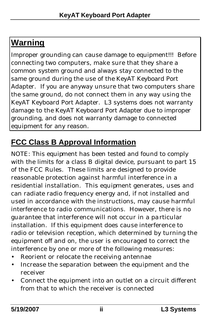### **Warning**

Improper grounding can cause damage to equipment!!! Before connecting two computers, make sure that they share a common system ground and always stay connected to the same ground during the use of the KeyAT Keyboard Port Adapter. If you are anyway unsure that two computers share the same ground, do not connect them in any way using the KeyAT Keyboard Port Adapter. L3 systems does not warranty damage to the KeyAT Keyboard Port Adapter due to improper grounding, and does not warranty damage to connected equipment for any reason.

### **FCC Class B Approval Information**

NOTE: This equipment has been tested and found to comply with the limits for a class B digital device, pursuant to part 15 of the FCC Rules. These limits are designed to provide reasonable protection against harmful interference in a residential installation. This equipment generates, uses and can radiate radio frequency energy and, if not installed and used in accordance with the instructions, may cause harmful interference to radio communications. However, there is no guarantee that interference will not occur in a pa rticular installation. If this equipment does cause interference to radio or television reception, which determined by turning the equipment off and on, the user is encouraged to correct the interference by one or more of the following measures:

- Reorient or relocate the receiving antennae
- Increase the separation between the equipment and the receiver
- Connect the equipment into an outlet on a circuit different from that to which the receiver is connected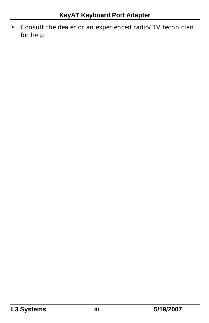• Consult the dealer or an experienced radio/TV technician for help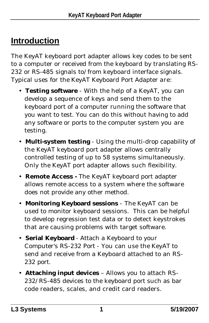### **Introduction**

The KeyAT keyboard port adapter allows key codes to be sent to a computer or received from the keyboard by translating RS-232 or RS-485 signals to/from keyboard interface signals. Typical uses for the KeyAT Keyboard Port Adapter are:

- **Testing software** With the help of a KeyAT, you can develop a sequence of keys and send them to the keyboard port of a computer running the software that you want to test. You can do this without having to add any software or ports to the computer system you are testing.
- **Multi-system testing**  Using the multi-drop capability of the KeyAT keyboard port adapter allows centrally controlled testing of up to 58 systems simultaneously. Only the KeyAT port adapter allows such flexibility.
- **Remote Access -** The KeyAT keyboard port adapter allows remote access to a system where the software does not provide any other method.
- **Monitoring Keyboard sessions** The KeyAT can be used to monitor keyboard sessions. This can be helpful to develop regression test data or to detect keystrokes that are causing problems with target software.
- **Serial Keyboard** Attach a Keyboard to your Computer's RS-232 Port - You can use the KeyAT to send and receive from a Keyboard attached to an RS-232 port.
- **Attaching input devices** Allows you to attach RS-232/RS-485 devices to the keyboard port such as bar code readers, scales, and credit card readers.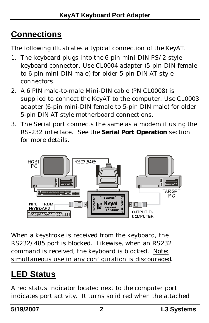### **Connections**

The following illustrates a typical connection of the KeyAT.

- 1. The keyboard plugs into the 6-pin mini-DIN PS/2 style keyboard connector. Use CL0004 adapter (5-pin DIN female to 6-pin mini-DIN male) for older 5-pin DIN AT style connectors.
- 2. A 6 PIN male-to-male Mini-DIN cable (PN CL0008) is supplied to connect the KeyAT to the computer. Use CL0003 adapter (6-pin mini-DIN female to 5-pin DIN male) for older 5-pin DIN AT style motherboard connections.
- 3. The Serial port connects the same as a modem if using the RS-232 interface. See the **Serial Port Operation** section for more details.



When a keystroke is received from the keyboard, the RS232/485 port is blocked. Likewise, when an RS232 command is received, the keyboard is blocked. Note: simultaneous use in any configuration is discouraged.

# **LED Status**

A red status indicator located next to the computer port indicates port activity. It turns solid red when the attached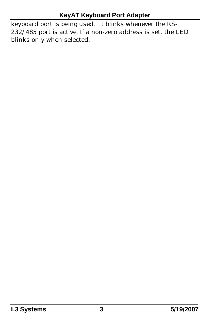#### **KeyAT Keyboard Port Adapter**

keyboard port is being used. It blinks whenever the RS-232/485 port is active. If a non-zero address is set, the LED blinks only when selected.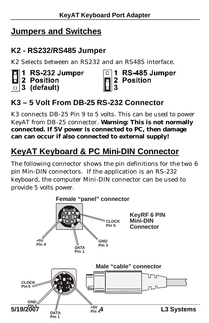### **Jumpers and Switches**

#### **K2 - RS232/RS485 Jumper**

K2 Selects between an RS232 and an RS485 interface.

- RS-232 Jumper
- 2 Position
- 3 (default)

RS-485 Jumper **Position** 

### **K3 – 5 Volt From DB-25 RS-232 Connector**

K3 connects DB-25 Pin 9 to 5 volts. This can be used to power KeyAT from DB-25 connector. **Warning: This is not normally connected. If 5V power is connected to PC, then damage can can occur if also connected to external supply!**

# **KeyAT Keyboard & PC Mini-DIN Connector**

The following connector shows the pin definitions for the two 6 pin Min-DIN connectors. If the application is an RS-232 keyboard, the computer Mini-DIN connector can be used to provide 5 volts power.

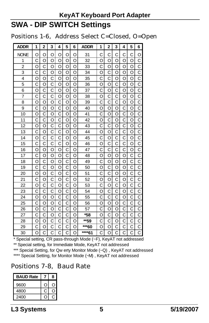#### **KeyAT Keyboard Port Adapter SWA - DIP SWITCH Settings**

Positions 1-6, Address Select C=Closed, O=Open

| <b>ADDR</b>    | 1 | $\overline{2}$ | 3 | 4              | 5                     | 6        | <b>ADDR</b> | 1 | $\overline{2}$ | 3              | 4 | 5                     | 6                     |
|----------------|---|----------------|---|----------------|-----------------------|----------|-------------|---|----------------|----------------|---|-----------------------|-----------------------|
| <b>NONE</b>    | O | O              | റ | O              | O                     | O        | 31          | C | С              | C              | С | С                     | O                     |
| 1              | C | O              | O | O              | O                     | O        | 32          | O | O              | O              | O | O                     | Ċ                     |
| $\overline{c}$ | O | C              | O | O              | O                     | O        | 33          | Ċ | O              | O              | O | O                     | $\overline{\text{c}}$ |
| 3              | Ć | Ċ              | Ω | Ω              | Ω                     | Ω        | 34          | O | Ċ              | O              | Ω | റ                     | C                     |
| $\overline{4}$ | O | O              | Ć | O              | O                     | O        | 35          | Ċ | Ċ              | O              | O | O                     | $\overline{\text{c}}$ |
| 5              | С | Ω              | Ć | O              | O                     | O        | 36          | O | O              | Ć              | O | O                     | C                     |
| 6              | O | Ć              | Ċ | O              | O                     | O        | 37          | Ċ | O              | Ċ              | O | O                     | C                     |
| $\overline{7}$ | Ć | C              | Ć | O              | O                     | O        | 38          | O | Ć              | Ċ              | O | O                     | $\overline{c}$        |
| 8              | O | O              | O | Ċ              | O                     | O        | 39          | Ċ | Ċ              | Ć              | O | O                     | $\overline{\text{c}}$ |
| 9              | Ċ | O              | O | Ć              | O                     | O        | 40          | O | O              | O              | Ć | O                     | $\overline{\text{c}}$ |
| 10             | O | Ć              | O | Ć              | O                     | O        | 41          | Ć | O              | O              | Ć | O                     | $\overline{C}$        |
| 11             | Ć | C              | O | Ć              | O                     | O        | 42          | O | Ć              | O              | Ć | O                     | C                     |
| 12             | O | O              | С | Ć              | O                     | O        | 43          | Ć | Ć              | O              | Ć | O                     | C                     |
| 13             | Ć | O              | Ċ | Ć              | O                     | O        | 44          | O | O              | Ć              | c | O                     | $\overline{\text{c}}$ |
| 14             | O | C              | Ċ | Ċ              | O                     | O        | 45          | Ċ | O              | Ċ              | Ċ | O                     | $\overline{\text{c}}$ |
| 15             | Ċ | C              | Ć | Ć              | O                     | O        | 46          | O | Ċ              | Ċ              | Ć | O                     | $\overline{\text{c}}$ |
| 16             | O | O              | O | O              | C                     | O        | 47          | C | Ċ              | $\overline{c}$ | Ċ | O                     | $\overline{\text{c}}$ |
| 17             | С | O              | O | O              | C                     | O        | 48          | O | O              | O              | O | С                     | C                     |
| 18             | O | C              | O | O              | C                     | O        | 49          | Ć | O              | O              | O | C                     | C                     |
| 19             | Ċ | C              | O | O              | C                     | O        | 50          | O | Ć              | O              | O | C                     | $\overline{\text{c}}$ |
| 20             | O | O              | Ċ | O              | Ċ                     | O        | 51          | Ċ | Ċ              | O              | O | Ċ                     | $\overline{\text{c}}$ |
| 21             | Ċ | O              | Ć | O              | C                     | O        | 52          | O | O              | Ċ              | O | Ć                     | $\overline{\rm c}$    |
| 22             | O | C              | Ċ | O              | C                     | O        | 53          | Ċ | O              | Ċ              | O | C                     | $\overline{\text{c}}$ |
| 23             | C | Ċ              | Ċ | O              | Ć                     | O        | 54          | O | Ć              | Ċ              | O | Ċ                     | $\overline{\rm c}$    |
| 24             | O | O              | O | С              | C                     | O        | 55          | С | С              | Ċ              | O | С                     | C                     |
| 25             | Ć | O              | O | Ć              | C                     | O        | 56          | O | O              | O              | Ć | C                     | Ċ                     |
| 26             | O | C              | O | $\overline{c}$ | $\overline{\text{c}}$ | O        | 57          | Ċ | O              | O              | Ċ | $\overline{\text{c}}$ | $\overline{\rm c}$    |
| 27             | Ċ | Ċ              | O | Ċ              | Ċ                     | O        | *58         | O | Ċ              | O              | Ć | Ċ                     | $\overline{C}$        |
| 28             | O | O              | Ċ | Ċ              | C                     | O        | **59        | Ċ | Ć              | O              | Ć | Ċ                     | $\overline{\text{c}}$ |
| 29             | С | Ω              | Ċ | C              | C                     | $\Omega$ | ***60       | O | Ω              | Ć              | C | C                     | $\overline{c}$        |
| 30             | O | Ć              | Ć | Ċ              | Ċ                     | O        | ****61      | Ċ | O              | Ċ              | Ċ | Ć                     | $\overline{\rm c}$    |

\* Special setting, CR pass-through Mode (~F), KeyAT not addressed

\*\* Special setting, for Immediate Mode, KeyAT not addressed

\*\*\* Special Setting, for Qw erty Monitor Mode (~Q), KeyAT not addressed

\*\*\*\* Special Setting, for Monitor Mode (~M), KeyAT not addressed

#### Positions 7-8, Baud Rate

| <b>BAUD Rate</b> | 8 |
|------------------|---|
| 9600             |   |
| 4800             |   |
| 2400             |   |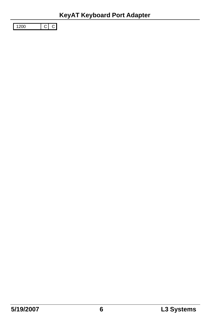| <b>KeyAT Keyboard Port Adapter</b> |     |  |  |  |
|------------------------------------|-----|--|--|--|
|                                    |     |  |  |  |
| 1200                               | c c |  |  |  |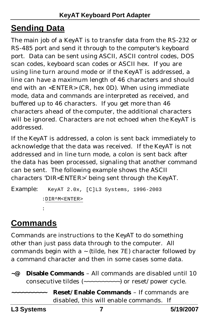### **Sending Data**

The main job of a KeyAT is to transfer data from the RS-232 or RS-485 port and send it through to the computer's keyboard port. Data can be sent using ASCII, ASCII control codes, DOS scan codes, keyboard scan codes or ASCII hex. If you are using line turn around mode or if the KeyAT is addressed, a line can have a maximum length of 46 characters and should end with an <ENTER> (CR, hex 0D). When using immediate mode, data and commands are interpreted as received, and buffered up to 46 characters. If you get more than 46 characters ahead of the computer, the additional characters will be ignored. Characters are not echoed when the KeyAT is addressed.

If the KeyAT is addressed, a colon is sent back immediately to acknowledge that the data was received. If the KeyAT is not addressed and in line turn mode, a colon is sent back after the data has been processed, signaling that another command can be sent. The following example shows the ASCII characters 'DIR<ENTER>' being sent through the KeyAT.

```
Example: KeyAT 2.0x, [C]L3 Systems, 1996-2003
           :DIR^M<ENTER>
           :
```
## **Commands**

Commands are instructions to the KeyAT to do something other than just pass data through to the computer. All commands begin with a  $\sim$  (tilde, hex 7E) character followed by a command character and then in some cases some data.

| $\sim$ <b>Disable Commands</b> - All commands are disabled until 10             |
|---------------------------------------------------------------------------------|
| consecutive tildes $(\sim \sim \sim \sim \sim \sim \sim)$ or reset/power cycle. |

| ~~~~~~~~~~ | <b>Reset/Enable Commands - If commands are</b> |
|------------|------------------------------------------------|
|            | disabled, this will enable commands. If        |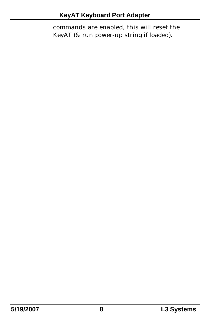commands are enabled, this will reset the KeyAT (& run power-up string if loaded).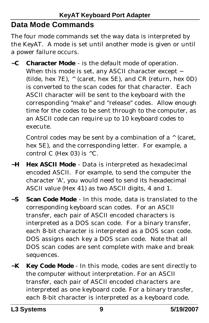#### **Data Mode Commands**

The four mode commands set the way data is interpreted by the KeyAT. A mode is set until another mode is given or until a power failure occurs.

**~C Character Mode** - is the default mode of operation. When this mode is set, any ASCII character except ~ (tilde, hex  $7E$ ),  $\land$  (caret, hex  $5E$ ), and CR (return, hex  $0D$ ) is converted to the scan codes for that character. Each ASCII character will be sent to the keyboard with the corresponding "make" and "release" codes. Allow enough time for the codes to be sent through to the computer, as an ASCII code can require up to 10 keyboard codes to execute.

Control codes may be sent by a combination of a  $\wedge$  (caret, hex 5E), and the corresponding letter. For example, a control C (Hex 03) is  $\triangle$ C.

- **~H Hex ASCII Mode** Data is interpreted as hexadecimal encoded ASCII. For example, to send the computer the character 'A', you would need to send its hexadecimal ASCII value (Hex 41) as two ASCII digits, 4 and 1.
- **~S Scan Code Mode** In this mode, data is translated to the corresponding keyboard scan codes. For an ASCII transfer, each pair of ASCII encoded characters is interpreted as a DOS scan code. For a binary transfer, each 8-bit character is interpreted as a DOS scan code. DOS assigns each key a DOS scan code. Note that all DOS scan codes are sent complete with make and break sequences.
- **~K Key Code Mode**  In this mode, codes are sent directly to the computer without interpretation. For an ASCII transfer, each pair of ASCII encoded characters are interpreted as one keyboard code. For a binary transfer, each 8-bit character is interpreted as a keyboard code.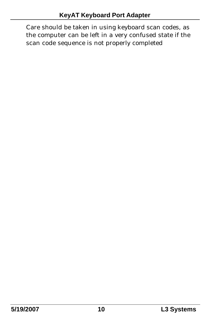Care should be taken in using keyboard scan codes, as the computer can be left in a very confused state if the scan code sequence is not properly completed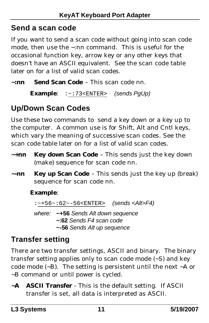#### **Send a scan code**

If you want to send a scan code without going into scan code mode, then use the ~:nn command. This is useful for the occasional function key, arrow key or any other keys that doesn't have an ASCII equivalent. See the scan code table later on for a list of valid scan codes.

**~:nn Send Scan Code** – This scan code nn.

**Example**: :~:73<ENTER> *(sends PgUp)*

#### **Up/Down Scan Codes**

Use these two commands to send a key down or a key up to the computer. A common use is for Shift, Alt and Cntl keys, which vary the meaning of successive scan codes. See the scan code table later on for a list of valid scan codes.

- **~+nn Key down Scan Code** This sends just the key down (make) sequence for scan code nn.
- **~-nn Key up Scan Code** This sends just the key up (break) sequence for scan code nn.

#### **Example**:

```
:~+56~:62~-56<ENTER> (sends <Alt>F4)
```
*where:* **~+56** *Sends Alt down sequence* **~:62** *Sends F4 scan code* **~-56** *Sends Alt up sequence*

#### **Transfer setting**

There are two transfer settings, ASCII and binary. The binary transfer setting applies only to scan code mode (~S) and key code mode (~B). The setting is persistent until the next ~A or ~B command or until power is cycled.

**~A ASCII Transfer** - This is the default setting. If ASCII transfer is set, all data is interpreted as ASCII.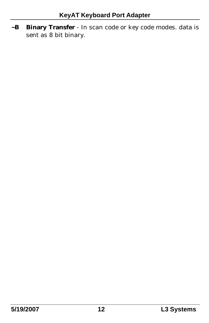**~B Binary Transfer** - In scan code or key code modes. data is sent as 8 bit binary.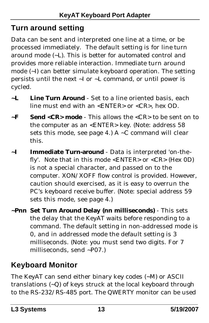#### **Turn around setting**

Data can be sent and interpreted one line at a time, or be processed immediately. The default setting is for line turn around mode (~L). This is better for automated control and provides more reliable interaction. Immediate turn around mode (~I) can better simulate keyboard operation. The setting persists until the next ~I or ~L command, or until power is cycled.

- **~L Line Turn Around** Set to a line oriented basis, each line must end with an <ENTER> or <CR>, hex OD.
- **~F Send <CR> mode**  This allows the <CR> to be sent on to the computer as an <ENTER> key. (Note: address 58 sets this mode, see page 4.) A  $\sim$ C command will clear this.
- **~I Immediate Turn-around** Data is interpreted 'on-thefly'. Note that in this mode <ENTER> or <CR> (Hex 0D) is not a special character, and passed on to the computer. XON/XOFF flow control is provided. However, caution should exercised, as it is easy to overrun the PC's keyboard receive buffer. (Note: special address 59 sets this mode, see page 4.)
- **~Pnn Set Turn Around Delay (nn milliseconds)**  This sets the delay that the KeyAT waits before responding to a command. The default setting in non-addressed mode is 0, and in addressed mode the default setting is 3 milliseconds. (Note: you must send two digits. For 7 milliseconds, send ~P07.)

### **Keyboard Monitor**

The KeyAT can send either binary key codes (~M) or ASCII translations (~Q) of keys struck at the local keyboard through to the RS-232/RS-485 port. The QWERTY monitor can be used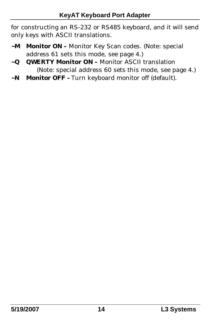for constructing an RS-232 or RS485 keyboard, and it will send only keys with ASCII translations.

- **~M Monitor ON –** Monitor Key Scan codes. (Note: special address 61 sets this mode, see page 4.)
- **~Q QWERTY Monitor ON –** Monitor ASCII translation (Note: special address 60 sets this mode, see page 4.)
- **~N Monitor OFF -** Turn keyboard monitor off (default).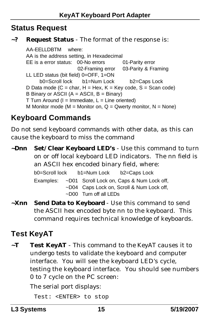#### **Status Request**

#### **~? Request Status** - The format of the response is:

AA-EELLDBTM where: AA is the address setting, in Hexadecimal EE is a error status: 00-No errors 01-Parity error 02-Framing error 03-Parity & Framing LL LED status (bit field) 0=OFF, 1=ON b0=Scroll lock b1=Num Lock b2=Caps Lock D Data mode ( $C = char$ ,  $H = Hex$ ,  $K = Key code$ ,  $S = Scan code$ ) B Binary or ASCII ( $A = ASCII$ ,  $B = Binary$ )  $T$  Turn Around (I = Immediate, L = Line oriented) M Monitor mode ( $M =$  Monitor on,  $Q =$  Qwerty monitor,  $N =$  None)

#### **Keyboard Commands**

Do not send keyboard commands with other data, as this can cause the keyboard to miss the command

- **~Dnn Set/Clear Keyboard LED's** Use this command to turn on or off local keyboard LED indicators. The nn field is an ASCII hex encoded binary field, where: b0=Scroll lock b1=Num Lock b2=Caps Lock Examples: ~D01 Scroll Lock on, Caps & Num Lock off, ~D04 Caps Lock on, Scroll & Num Lock off, ~D00 Turn off all LEDs
- **~Xnn Send Data to Keyboard** Use this command to send the ASCII hex encoded byte nn to the keyboard. This command requires technical knowledge of keyboards.

#### **Test KeyAT**

**~T Test KeyAT** - This command to the KeyAT causes it to undergo tests to validate the keyboard and computer interface. You will see the keyboard LED's cycle, testing the keyboard interface. You should see numbers 0 to 7 cycle on the PC screen:

The serial port displays:

Test: <ENTER> to stop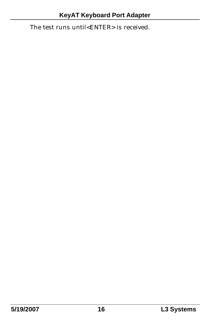The test runs until<ENTER> is received.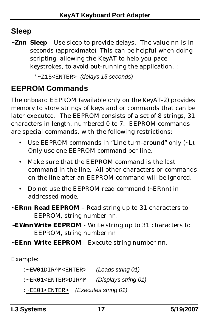#### **Sleep**

**~Znn Sleep** – Use sleep to provide delays. The value nn is in seconds (approximate). This can be helpful when doing scripting, allowing the KeyAT to help you pace keystrokes, to avoid out-running the application. :

```
*~Z15<ENTER> (delays 15 seconds)
```
#### **EEPROM Commands**

The onboard EEPROM (available only on the KeyAT-2) provides memory to store strings of keys and or commands that can be later exe cuted. The EEPROM consists of a set of 8 strings, 31 characters in length, numbered 0 to 7. EEPROM commands are special commands, with the following restrictions:

- Use EEPROM commands in "Line turn-around" only (~L). Only use one EEPROM command per line.
- Make sure that the EEPROM command is the last command in the line. All other characters or commands on the line after an EEPROM command will be ignored.
- Do not use the EEPROM read command (~ERnn) in addressed mode.
- **~ERnn Read EEPROM** Read string up to 31 characters to EEPROM, string number nn.
- **~EWnnWrite EEPROM** Write string up to 31 characters to EEPROM, string number nn
- **~EEnn Write EEPROM** Execute string number nn.

Example:

- :~EW01DIR^M<ENTER> *(Loads string 01)*
- :~ER01<ENTER>DIR^M *(Displays string 01)*
- :~EE01<ENTER> *(Executes string 01)*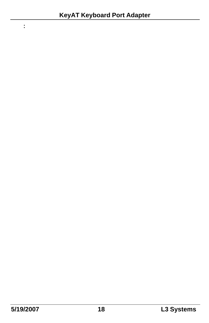: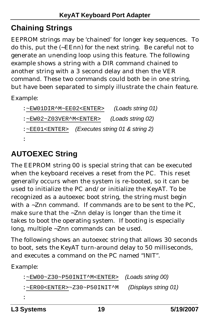#### **Chaining Strings**

EEPROM strings may be 'chained' for longer key sequences. To do this, put the (~EEnn) for the next string. Be careful not to generate an unending loop using this feature. The following example shows a string with a DIR command chained to another string with a 3 second delay and then the VER command. These two commands could both be in one string, but have been separated to simply illustrate the chain feature.

Example:

:~EW01DIR^M~EE02<ENTER> *(Loads string 01)* :~EW02~Z03VER^M<ENTER> *(Loads string 02)* :~EE01<ENTER> *(Executes string 01 & string 2)* :

#### **AUTOEXEC String**

The EEPROM string 00 is special string that can be executed when the keyboard receives a reset from the PC. This reset generally occurs when the system is re-booted, so it can be used to initialize the PC and/or initialize the KeyAT. To be recognized as a autoexec boot string, the string must begin with a ~Znn command. If commands are to be sent to the PC, make sure that the ~Znn delay is longer than the time it takes to boot the operating system. If booting is especially long, multiple ~Znn commands can be used.

The following shows an autoexec string that allows 30 seconds to boot, sets the KeyAT turn-around delay to 50 milliseconds, and executes a command on the PC named "INIT".

Example:

```
:~EW00~Z30~P50INIT^M<ENTER> (Loads string 00)
:~ER00<ENTER>~Z30~P50INIT^M (Displays string 01)
:
```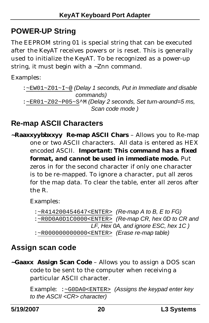#### **POWER-UP String**

The EEPROM string 01 is special string that can be executed after the KeyAT receives powers or is reset. This is generally used to initialize the KeyAT. To be recognized as a power-up string, it must begin with a ~Znn command.

Examples:

```
:~EW01~Z01~I~@ (Delay 1 seconds, Put in Immediate and disable 
                  commands)
:~ER01~Z02~P05~S^M (Delay 2 seconds, Set turn-around=5 ms, 
                       Scan code mode )
```
#### **Re-map ASCII Characters**

**~Raaxxyybbxxyy Re-map ASCII Chars** – Allows you to Re-map one or two ASCII characters. All data is entered as HEX encoded ASCII. *Important: This command has a fixed format, and cannot be used in immediate mode.* Put zeros in for the second character if only one character is to be re-mapped. To ignore a character, put all zeros for the map data. To clear the table, enter all zeros after the R.

Examples:

:~R414200454647<ENTER> *(Re-map A to B, E to FG)* :~R0D0A0D1C0000<ENTER> *(Re-map CR, hex 0D to CR and LF, Hex 0A, and ignore ESC, hex 1C )* :~R000000000000<ENTER> *(Erase re-map table)*

#### **Assign scan code**

**~Gaaxx Assign Scan Code** – Allows you to assign a DOS scan code to be sent to the computer when receiving a particular ASCII character.

> Example: :~G0DA0<ENTER> *(Assigns the keypad enter key to the ASCII <CR> character)*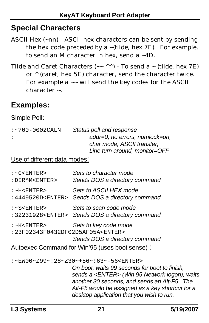#### **Special Characters**

- ASCII Hex (~nn) ASCII hex characters can be sent by sending the hex code preceded by a  $\sim$ (tilde, hex  $7E$ ). For example, to send an M character in hex, send a ~4D.
- Tilde and Caret Characters  $(-\sim \wedge \wedge)$  To send a  $\sim$  (tilde, hex 7E) or ^ (caret, hex 5E) character, send the character twice. For example a  $\sim$  will send the key codes for the ASCII character ~.

#### **Examples:**

#### Simple Poll:

:~?00-0002CALN *Status poll and response* : *addr=0, no errors, numlock=on, char mode, ASCII transfer, Line turn around, monitor=OFF* 

Use of different data modes:

| : <c><b>ENTER&gt;</b></c>                      | Sets to character mode        |
|------------------------------------------------|-------------------------------|
| : DIR^M <fnter></fnter>                        | Sends DOS a directory command |
| $:-$ H <enter></enter>                         | Sets to ASCII HEX mode        |
| :4449520D <enter></enter>                      | Sends DOS a directory command |
| $: $                                           | Sets to scan code mode        |
| : 32231928 <enter></enter>                     | Sends DOS a directory command |
| $:$ $\scriptstyle \sim$ K <enter></enter>      | Sets to key code mode         |
| : 23F02343F0432DF02D5AF05A <enter></enter>     | Sends DOS a directory command |
| Autoexec Command for Win'95 (uses boot sense): |                               |

:~EW00~Z99~:28~Z30~+56~:63~-56<ENTER> *On boot, waits 99 seconds for boot to finish, sends a <ENTER> (Win 95 Network logon), waits another 30 seconds, and sends an Alt-F5. The Alt-F5 would be assigned as a key shortcut for a desktop application that you wish to run.*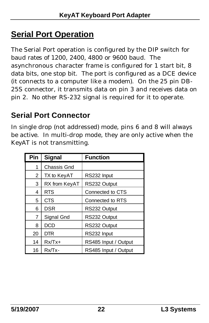### **Serial Port Operation**

The Serial Port operation is configured by the DIP switch for baud rates of 1200, 2400, 4800 or 9600 baud. The asynchronous character frame is configured for 1 start bit, 8 data bits, one stop bit. The port is configured as a DCE device (it connects to a computer like a modem). On the 25 pin DB-25S connector, it transmits data on pin 3 and receives data on pin 2. No other RS-232 signal is required for it to operate.

#### **Serial Port Connector**

In single drop (not addressed) mode, pins 6 and 8 will always be active. In multi-drop mode, they are only active when the KeyAT is not transmitting.

| Pin | <b>Signal</b> | <b>Function</b>      |
|-----|---------------|----------------------|
| 1   | Chassis Gnd   |                      |
| 2   | TX to KeyAT   | RS232 Input          |
| 3   | RX from KeyAT | RS232 Output         |
| 4   | <b>RTS</b>    | Connected to CTS     |
| 5   | <b>CTS</b>    | Connected to RTS     |
| 6   | <b>DSR</b>    | RS232 Output         |
| 7   | Signal Gnd    | RS232 Output         |
| 8   | <b>DCD</b>    | RS232 Output         |
| 20  | <b>DTR</b>    | RS232 Input          |
| 14  | $Rx/Tx+$      | RS485 Input / Output |
| 16  | $Rx/Tx$ -     | RS485 Input / Output |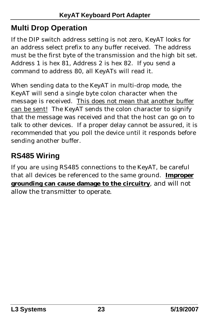#### **Multi Drop Operation**

If the DIP switch address setting is not zero, KeyAT looks for an address select prefix to any buffer received. The address must be the first byte of the transmission and the high bit set. Address 1 is hex 81, Address 2 is hex 82. If you send a command to address 80, all KeyATs will read it.

When sending data to the KeyAT in multi-drop mode, the KeyAT will send a single byte colon character when the message is received. This does not mean that another buffer can be sent! The KeyAT sends the colon character to signify that the message was received and that the host can go on to talk to other devices. If a proper delay cannot be assured, it is recommended that you poll the device until it responds before sending another buffer.

### **RS485 Wiring**

If you are using RS485 connections to the KeyAT, be careful that all devices be referenced to the same ground. **Improper grounding can cause damage to the circuitry**, and will not allow the transmitter to operate.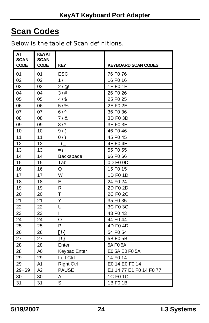#### **Scan Codes**

| AT<br><b>SCAN</b><br><b>CODE</b> | <b>KEYAT</b><br><b>SCAN</b><br><b>CODE</b> | <b>KEY</b>          | <b>KEYBOARD SCAN CODES</b> |
|----------------------------------|--------------------------------------------|---------------------|----------------------------|
|                                  |                                            |                     |                            |
| 01                               | 01                                         | <b>ESC</b>          | 76 F0 76                   |
| 02                               | 02                                         | 1/!                 | 16 F0 16                   |
| 03                               | 03                                         | 2/@                 | 1E F0 1E                   |
| 04                               | 04                                         | 3/#                 | 26 F0 26                   |
| 05                               | 05                                         | $4/$ \$             | 25 F0 25                   |
| 06                               | 06                                         | $5/$ %              | 2E F0 2E                   |
| 07                               | 07                                         | $6/^$               | 36 F0 36                   |
| 08                               | 08                                         | 7/8                 | 3D F0 3D                   |
| 09                               | 09                                         | 8/                  | 3E F0 3E                   |
| 10                               | 10                                         | $9/$ (              | 46 F0 46                   |
| 11                               | 11                                         | 0/                  | 45 F0 45                   |
| 12                               | 12                                         | $-I$                | 4E F0 4E                   |
| 13                               | 13                                         | $= 1 +$             | 55 F0 55                   |
| 14                               | 14                                         | <b>Backspace</b>    | 66 F0 66                   |
| 15                               | 15                                         | Tab                 | 0D F0 0D                   |
| 16                               | 16                                         | Q                   | 15 F0 15                   |
| 17                               | 17                                         | W                   | 1D F0 1D                   |
| 18                               | 18                                         | E                   | 24 F0 24                   |
| 19                               | 19                                         | R                   | 2D F0 2D                   |
| 20                               | 20                                         | T                   | 2C F0 2C                   |
| 21                               | 21                                         | Y                   | 35 F0 35                   |
| 22                               | 22                                         | Ù                   | 3C F0 3C                   |
| 23                               | 23                                         | $\mathsf{L}$        | 43 F0 43                   |
| 24                               | 24                                         | O                   | 44 F0 44                   |
| 25                               | 25                                         | P                   | 4D F0 4D                   |
| 26                               | 26                                         | $1\sqrt{2}$         | 54 F0 54                   |
| 27                               | 27                                         | 1/3                 | 5B F0 5B                   |
| 28                               | 28                                         | Enter               | 5A F0 5A                   |
| 28                               | A0                                         | <b>Keypad Enter</b> | E0 5A E0 F0 5A             |
| 29                               | 29                                         | Left Ctrl           | 14 F0 14                   |
| 29                               | A1                                         | <b>Right Ctrl</b>   | E0 14 E0 F0 14             |
| $29 + 69$                        | A2                                         | <b>PAUSE</b>        | E1 14 77 E1 F0 14 F0 77    |
| 30                               | 30                                         | Α                   | 1C F0 1C                   |
| 31                               | 31                                         | S                   | 1B F0 1B                   |

Below is the table of Scan definitions.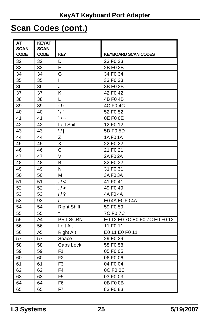### **Scan Codes (cont.)**

| AT<br><b>SCAN</b> | <b>KEYAT</b><br><b>SCAN</b> |                             |                               |
|-------------------|-----------------------------|-----------------------------|-------------------------------|
| <b>CODE</b>       | <b>CODE</b>                 | <b>KEY</b>                  | <b>KEYBOARD SCAN CODES</b>    |
| 32                | 32                          | D                           | 23 F0 23                      |
| 33                | 33                          | F                           | 2B F0 2B                      |
| 34                | 34                          | G                           | 34 F0 34                      |
| 35                | 35                          | Η                           | 33 F0 33                      |
| 36                | 36                          | J                           | 3B F0 3B                      |
| 37                | 37                          | Κ                           | 42 F0 42                      |
| 38                | 38                          | L                           | 4B F04B                       |
| 39                | 39                          | ; I:                        | 4C F0 4C                      |
| 40                | 40                          | $'$ /"                      | 52 F0 52                      |
| 41                | 41                          | $\overline{\cdot}$ / $\sim$ | OE FO OE                      |
| 42                | 42                          | <b>Left Shift</b>           | 12 F0 12                      |
| 43                | 43                          | $\setminus$ /               | 5D F0 5D                      |
| 44                | 44                          | Ζ                           | 1A F0 1A                      |
| 45                | 45                          | X                           | 22 F0 22                      |
| 46                | 46                          | $\mathsf{C}$                | 21 F0 21                      |
| 47                | 47                          | $\vee$                      | 2A F0 2A                      |
| 48                | 48                          | B                           | 32 F0 32                      |
| 49                | 49                          | N                           | 31 F0 31                      |
| 50                | 50                          | М                           | 3A F0 3A                      |
| 51                | 51                          | , I <                       | 41 F0 41                      |
| 52                | 52                          | .1                          | 49 F0 49                      |
| 53                | 53                          | 11?                         | 4A F04A                       |
| 53                | 93                          | $\prime$                    | E04A E0F04A                   |
| 54                | 54                          | <b>Right Shift</b>          | 59 F0 59                      |
| 55                | 55                          |                             | 7C F0 7C                      |
| 55                | A4                          | PRT SCRN                    | E0 12 E0 7C E0 F0 7C E0 F0 12 |
| 56                | 56                          | Left Alt                    | 11 F0 11                      |
| 56                | A <sub>5</sub>              | <b>Right Alt</b>            | E0 11 E0 F0 11                |
| 57                | 57                          | Space                       | 29 F0 29                      |
| 58                | 58                          | Caps Lock                   | 58 F0 58                      |
| 59                | 59                          | F <sub>1</sub>              | 05 F0 05                      |
| 60                | 60                          | F <sub>2</sub>              | 06 F0 06                      |
| 61                | 61                          | F <sub>3</sub>              | 04 F0 04                      |
| 62                | 62                          | F <sub>4</sub>              | OC FO OC                      |
| 63                | 63                          | F <sub>5</sub>              | 03 F0 03                      |
| 64                | 64                          | F6                          | 0B FO 0B                      |
| 65                | 65                          | F7                          | 83 F0 83                      |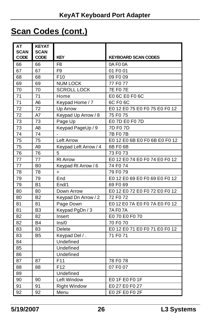### **Scan Codes (cont.)**

| AT                  | <b>KEYAT</b>               |                       |                               |
|---------------------|----------------------------|-----------------------|-------------------------------|
| <b>SCAN</b><br>CODE | <b>SCAN</b><br><b>CODE</b> | <b>KEY</b>            | <b>KEYBOARD SCAN CODES</b>    |
| 66                  | 66                         | F <sub>8</sub>        | 0A FO 0A                      |
| 67                  | 67                         | F <sub>9</sub>        | 01 F0 01                      |
| 68                  | 68                         | F <sub>10</sub>       | 09 F0 09                      |
| 69                  | 69                         | <b>NUM LOCK</b>       | 77 F0 77                      |
| 70                  |                            | <b>SCROLL LOCK</b>    | <b>7E F0 7E</b>               |
| 71                  | 70<br>71                   |                       | E0 6C E0 F0 6C                |
| 71                  |                            | Home                  |                               |
| 72                  | A6<br>72                   | Keypad Home / 7       | 6C F0 6C                      |
|                     |                            | Up Arrow              | E0 12 E0 75 E0 F0 75 E0 F0 12 |
| 72                  | A7                         | Keypad Up Arrow / 8   | 75 F0 75                      |
| 73                  | 73                         | Page Up               | E0 7D E0 F0 7D                |
| 73                  | A <sub>8</sub>             | Keypad PageUp / 9     | 7D F0 7D                      |
| 74                  | 74                         |                       | 7B F07B                       |
| 75                  | 75                         | <b>Left Arrow</b>     | E0 12 E0 6B E0 F0 6B E0 F0 12 |
| 75                  | A <sub>9</sub>             | Keypad Left Arrow / 4 | 6B F0 6B                      |
| 76                  | 76                         | 5                     | 73 F0 73                      |
| 77                  | 77                         | <b>Rt Arrow</b>       | E0 12 E0 74 E0 F0 74 E0 F0 12 |
| 77                  | B <sub>0</sub>             | Keypad Rt Arrow / 6   | 74 F0 74                      |
| 78                  | 78                         | $\ddot{}$             | 79 F0 79                      |
| 79                  | 79                         | End                   | E0 12 E0 69 E0 F0 69 E0 F0 12 |
| 79                  | B <sub>1</sub>             | End/1                 | 69 F0 69                      |
| 80                  | 80                         | Down Arrow            | E0 12 E0 72 E0 F0 72 E0 F0 12 |
| 80                  | B <sub>2</sub>             | Keypad Dn Arrow / 2   | 72 F0 72                      |
| 81                  | 81                         | Page Down             | E0 12 E0 7A E0 F0 7A E0 F0 12 |
| 81                  | B <sub>3</sub>             | Keypad PgDn / 3       | 7A F07A                       |
| 82                  | 82                         | Insert                | E0 70 E0 F0 70                |
| 82                  | B <sub>4</sub>             | Ins/0                 | 70 F0 70                      |
| 83                  | 83                         | Delete                | E0 12 E0 71 E0 F0 71 E0 F0 12 |
| 83                  | <b>B5</b>                  | Keypad Del / .        | 71 F0 71                      |
| 84                  |                            | Undefined             |                               |
| 85                  |                            | Undefined             |                               |
| 86                  |                            | Undefined             |                               |
| 87                  | 87                         | F11                   | 78 F0 78                      |
| 88                  | 88                         | F <sub>12</sub>       | 07 F0 07                      |
| 89                  |                            | Undefined             |                               |
| 90                  | 90                         | Left Window           | E0 1F E0 F0 1F                |
| 91                  | 91                         | <b>Right Window</b>   | E0 27 E0 F0 27                |
| $\overline{92}$     | 92                         | Menu                  | E0 2F E0 F0 2F                |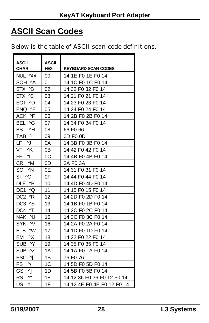### **ASCII Scan Codes**

Below is the table of ASCII scan code definitions.

| <b>ASCII</b>                           | <b>ASCII</b> |                            |
|----------------------------------------|--------------|----------------------------|
| <b>CHAR</b>                            | <b>HEX</b>   | <b>KEYBOARD SCAN CODES</b> |
| NUL ^@                                 | 00           | 14 1E F0 1E F0 14          |
| SOH ^A                                 | 01           | 14 1C F0 1C F0 14          |
| STX ^B                                 | 02           | 14 32 F0 32 F0 14          |
| ETX ^C                                 | 03           | 14 21 F0 21 F0 14          |
| EOT ^D                                 | 04           | 14 23 F0 23 F0 14          |
| ENQ ^E                                 | 05           | 14 24 F0 24 F0 14          |
| ACK ^F                                 | 06           | 14 2B F0 2B F0 14          |
| BEL ^G                                 | 07           | 14 34 F0 34 F0 14          |
| BS 사                                   | 08           | 66 F0 66                   |
| TAB <sup>N</sup>                       | 09           | 0D F0 0D                   |
| LF<br>^J                               | 0A           | 14 3B F0 3B F0 14          |
| VT<br>^K                               | 0B           | 14 42 F0 42 F0 14          |
| ^L<br>FF                               | OC           | 14 4B F0 4B F0 14          |
| ^M<br>CR.                              | 0D           | 3A F0 3A                   |
| SO ^N                                  | 0E           | 14 31 F0 31 F0 14          |
| SI YO                                  | 0F           | 14 44 F0 44 F0 14          |
| DLE ^P                                 | 10           | 14 4D F0 4D F0 14          |
| DC1 AQ                                 | 11           | 14 15 F0 15 F0 14          |
| DC2 ^R                                 | 12           | 14 2D F0 2D F0 14          |
| DC3 ^S                                 | 13           | 14 1B F0 1B F0 14          |
| DC4 ^T                                 | 14           | 14 2C F0 2C F0 14          |
| NAK ^U                                 | 15           | 14 3C F0 3C F0 14          |
| SYN ^V                                 | 16           | 14 2A F0 2A F0 14          |
| ETB ^W                                 | 17           | 14 1D F0 1D F0 14          |
| ٨X<br>EM                               | 18           | 14 22 F0 22 F0 14          |
| SUB ^Y                                 | 19           | 14 35 F0 35 F0 14          |
| SUB ^Z                                 | 1A           | 14 1A F0 1A F0 14          |
| ESC ^[                                 | 1B           | 76 F0 76                   |
| FS N                                   | 1C           | 14 5D F0 5D F0 14          |
| GS ^                                   | 1D           | 14 5B F0 5B F0 14          |
| <b>RS</b><br>$\boldsymbol{\mathsf{M}}$ | 1Ε           | 14 12 36 F0 36 F0 12 F0 14 |
| $\boldsymbol{\wedge}$<br><b>US</b>     | 1F           | 14 12 4E F0 4E F0 12 F0 14 |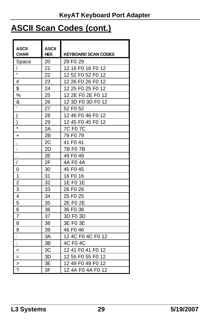# **ASCII Scan Codes (cont.)**

| <b>ASCII</b><br><b>CHAR</b> | <b>ASCII</b><br><b>HEX</b> | <b>KEYBOARD SCAN CODES</b> |
|-----------------------------|----------------------------|----------------------------|
| Space                       | 20                         | 29 F <sub>0</sub> 29       |
| Ţ                           | 21                         | 12 16 F0 16 F0 12          |
| $\mathbf{u}$                | 22                         | 12 52 F0 52 F0 12          |
| #                           | 23                         | 12 26 F0 26 F0 12          |
| \$                          | 24                         | 12 25 F0 25 F0 12          |
| $\%$                        | 25                         | 12 2E F0 2E F0 12          |
| &                           | 26                         | 12 3D F0 3D F0 12          |
| ŧ.                          | 27                         | 52 F0 52                   |
| $\overline{(}$              | 28                         | 12 46 F0 46 F0 12          |
| $\mathcal{E}$               | 29                         | 12 45 F0 45 F0 12          |
| $\star$                     | 2A                         | 7C F0 7C                   |
| $\ddot{}$                   | 2B                         | 79 F0 79                   |
| ,                           | 2C                         | 41 F0 41                   |
|                             | 2D                         | 7B F0 7B                   |
| Ŷ,                          | 2E                         | 49 F0 49                   |
| $\sqrt{\phantom{a}}$        | 2F                         | 4A F0 4A                   |
| 0                           | 30                         | 45 F <sub>0</sub> 45       |
| $\mathbf 1$                 | 31                         | 16 F0 16                   |
| $\overline{c}$              | 32                         | 1E F0 1E                   |
| 3                           | 33                         | 26 F0 26                   |
| $\overline{4}$              | 34                         | 25 F0 25                   |
| $\overline{5}$              | 35                         | 2E F0 2E                   |
| 6                           | 36                         | 36 F0 36                   |
| 7                           | 37                         | 3D F0 3D                   |
| 8                           | 38                         | 3E F0 3E                   |
| 9                           | 39                         | 46 F0 46                   |
| $\vdots$                    | 3A                         | 12 4C F0 4C F0 12          |
| $\overline{\cdot}$          | 3B                         | 4C F0 4C                   |
| $\prec$                     | ЗC                         | 12 41 F0 41 F0 12          |
| $=$                         | 3D                         | 12 55 F0 55 F0 12          |
| $\geq$                      | 3E                         | 12 49 F0 49 F0 12          |
| $\overline{?}$              | 3F                         | 12 4A F0 4A F0 12          |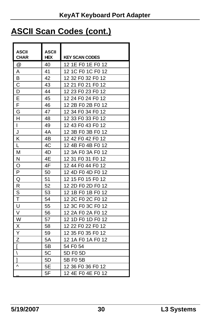### **ASCII Scan Codes (cont.)**

| <b>ASCII</b>          | <b>ASCII</b> |                       |
|-----------------------|--------------|-----------------------|
| <b>CHAR</b>           | HEX          | <b>KEY SCAN CODES</b> |
| $^{\textregistered}$  | 40           | 12 1E F0 1E F0 12     |
| A                     | 41           | 12 1C F0 1C F0 12     |
| B                     | 42           | 12 32 F0 32 F0 12     |
| $\mathbf C$           | 43           | 12 21 F0 21 F0 12     |
| D                     | 44           | 12 23 F0 23 F0 12     |
| E                     | 45           | 12 24 F0 24 F0 12     |
| F                     | 46           | 12 2B F0 2B F0 12     |
| G                     | 47           | 12 34 F0 34 F0 12     |
| $\overline{H}$        | 48           | 12 33 F0 33 F0 12     |
| $\mathsf I$           | 49           | 12 43 F0 43 F0 12     |
| J                     | 4A           | 12 3B F0 3B F0 12     |
| Κ                     | 4B           | 12 42 F0 42 F0 12     |
| L                     | 4C           | 12 4B F0 4B F0 12     |
| M                     | 4D           | 12 3A F0 3A F0 12     |
| N                     | 4E           | 12 31 F0 31 F0 12     |
| O                     | 4F           | 12 44 F0 44 F0 12     |
| $\overline{P}$        | 50           | 12 4D F0 4D F0 12     |
| Q                     | 51           | 12 15 F0 15 F0 12     |
| $\mathsf{R}$          | 52           | 12 2D F0 2D F0 12     |
| S                     | 53           | 12 1B F0 1B F0 12     |
| T                     | 54           | 12 2C F0 2C F0 12     |
| U                     | 55           | 12 3C F0 3C F0 12     |
| $\overline{\vee}$     | 56           | 12 2A F0 2A F0 12     |
| W                     | 57           | 12 1D F0 1D F0 12     |
| X                     | 58           | 12 22 F0 22 F0 12     |
| Y                     | 59           | 12 35 F0 35 F0 12     |
| $\overline{z}$        | 5A           | 12 1A F0 1A F0 12     |
| $\overline{a}$        | 5B           | 54 F0 54              |
| $\setminus$           | 5C           | 5D F0 5D              |
| $\mathbf{l}$          | 5D           | 5B F0 5B              |
| $\boldsymbol{\wedge}$ | 5Ε           | 12 36 F0 36 F0 12     |
|                       | 5F           | 12 4E F0 4E F0 12     |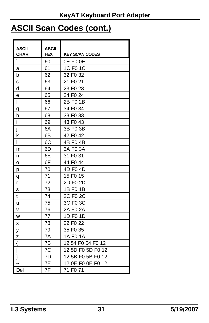# **ASCII Scan Codes (cont.)**

| <b>ASCII</b><br><b>CHAR</b> | <b>ASCII</b><br><b>HEX</b> | <b>KEY SCAN CODES</b> |
|-----------------------------|----------------------------|-----------------------|
|                             | 60                         | OE FO OE              |
| a                           | 61                         | 1C F0 1C              |
| b                           | 62                         | 32 F0 32              |
| C                           | 63                         | 21 F0 21              |
| d                           | 64                         | 23 F0 23              |
| e                           | 65                         | 24 F0 24              |
| $\mathsf{f}$                | 66                         | 2B F0 2B              |
| g                           | 67                         | 34 F0 34              |
| h                           | 68                         | 33 F0 33              |
| İ                           | 69                         | 43 F0 43              |
| İ                           | 6A                         | 3B F0 3B              |
| k                           | 6B                         | 42 F0 42              |
| $\mathsf{I}$                | 6C                         | 4B F0 4B              |
| m                           | 6D                         | 3A F0 3A              |
| n                           | 6E                         | 31 F0 31              |
| o                           | 6F                         | 44 F0 44              |
| р                           | 70                         | 4D F0 4D              |
| q                           | 71                         | 15 F0 15              |
| r                           | 72                         | 2D F0 2D              |
| S                           | 73                         | 1B F0 1B              |
| t                           | 74                         | 2C F0 2C              |
| U                           | 75                         | 3C F0 3C              |
| V                           | 76                         | 2A F0 2A              |
| W                           | 77                         | 1D F0 1D              |
| X                           | 78                         | 22 F0 22              |
| y                           | 79                         | 35 F0 35              |
| Z                           | 7A                         | 1A F0 1A              |
| $\{$                        | 7B                         | 12 54 F0 54 F0 12     |
| I                           | 7C                         | 12 5D F0 5D F0 12     |
| }                           | 7D                         | 12 5B F0 5B F0 12     |
|                             | 7Е                         | 12 0E F0 0E F0 12     |
| Del                         | 7F                         | 71 F0 71              |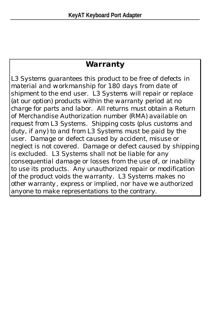#### *Warranty*

*L3 Systems guarantees this product to be free of defects in material and workmanship for 180 days from date of shipment to the end user. L3 Systems will repair or replace (at our option) products within the warranty period at no charge for parts and labor. All returns must obtain a Return of Merchandise Authorization number (RMA) available on request from L3 Systems. Shipping costs (plus customs and duty, if any) to and from L3 Systems must be paid by the user. Damage or defect caused by accident, misuse or neglect is not covered. Damage or defect caused by shipping is excluded. L3 Systems shall not be liable for any consequential damage or losses from the use of, or inability to use its products. Any unauthorized repair or modification of the product voids the warranty. L3 Systems makes no other warranty, express or implied, nor have we authorized anyone to make representations to the contrary.*